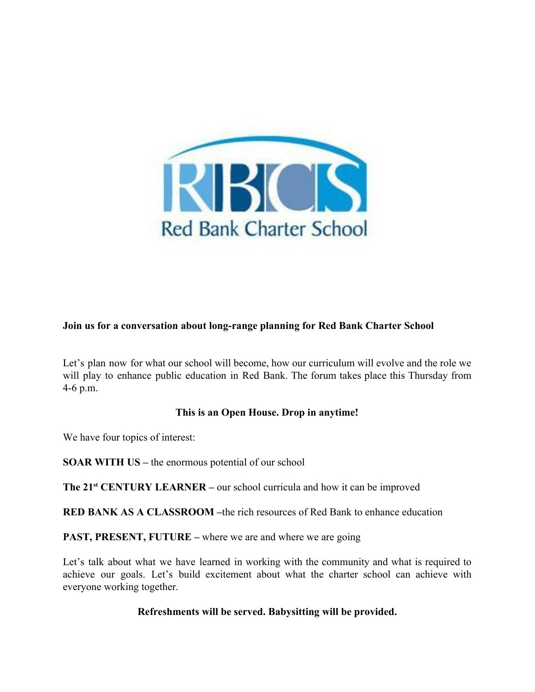

## **Join us for a conversation about long-range planning for Red Bank Charter School**

Let's plan now for what our school will become, how our curriculum will evolve and the role we will play to enhance public education in Red Bank. The forum takes place this Thursday from 4-6 p.m.

## **This is an Open House. Drop in anytime!**

We have four topics of interest:

**SOAR WITH US –** the enormous potential of our school

**The 21<sup>st</sup> CENTURY LEARNER** – our school curricula and how it can be improved

**RED BANK AS A CLASSROOM –**the rich resources of Red Bank to enhance education

**PAST, PRESENT, FUTURE** – where we are and where we are going

Let's talk about what we have learned in working with the community and what is required to achieve our goals. Let's build excitement about what the charter school can achieve with everyone working together.

## **Refreshments will be served. Babysitting will be provided.**